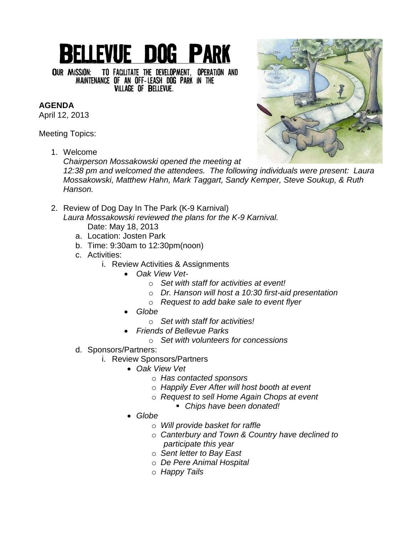## **BELLEVUE DOG PARK**

OUR MISSION: TO FACILITATE THE DEVELOPMENT, OPERATION AND MAINTENANCE OF AN OFF-LEASH DOG PARK IN THE **VILLAGE OF BELLEVUE.** 

## **AGENDA**

April 12, 2013

Meeting Topics:

1. Welcome

*Chairperson Mossakowski opened the meeting at 12:38 pm and welcomed the attendees. The following individuals were present: Laura Mossakowski, Matthew Hahn, Mark Taggart, Sandy Kemper, Steve Soukup, & Ruth Hanson.*

- 2. Review of Dog Day In The Park (K-9 Karnival) *Laura Mossakowski reviewed the plans for the K-9 Karnival.*  Date: May 18, 2013
	- a. Location: Josten Park
	- b. Time: 9:30am to 12:30pm(noon)
	- c. Activities:
		- i. Review Activities & Assignments
			- *Oak View Vet*
				- o *Set with staff for activities at event!*
				- o *Dr. Hanson will host a 10:30 first-aid presentation*
				- o *Request to add bake sale to event flyer*
			- *Globe*
				- o *Set with staff for activities!*
			- *Friends of Bellevue Parks*
				- o *Set with volunteers for concessions*
	- d. Sponsors/Partners:
		- i. Review Sponsors/Partners
			- *Oak View Vet*
				- o *Has contacted sponsors*
				- o *Happily Ever After will host booth at event*
				- o *Request to sell Home Again Chops at event*
					- *Chips have been donated!*
			- *Globe*
				- o *Will provide basket for raffle*
				- o *Canterbury and Town & Country have declined to participate this year*
				- o *Sent letter to Bay East*
				- o *De Pere Animal Hospital*
				- o *Happy Tails*